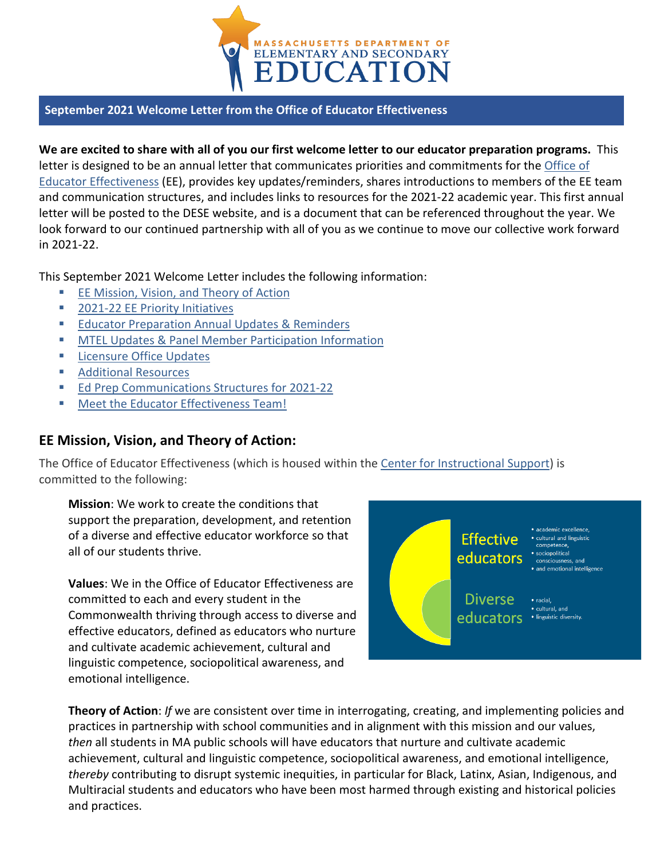

### **September 2021 Welcome Letter from the Office of Educator Effectiveness**

**We are excited to share with all of you our first welcome letter to our educator preparation programs.** This letter is designed to be an annual letter that communicates priorities and commitments for the [Office of](https://www.doe.mass.edu/edeffectiveness/)  [Educator Effectiveness](https://www.doe.mass.edu/edeffectiveness/) (EE), provides key updates/reminders, shares introductions to members of the EE team and communication structures, and includes links to resources for the 2021-22 academic year. This first annual letter will be posted to the DESE website, and is a document that can be referenced throughout the year. We look forward to our continued partnership with all of you as we continue to move our collective work forward in 2021-22.

This September 2021 Welcome Letter includes the following information:

- [EE Mission, Vision, and Theory of Action](#page-0-0)
- **2021-22 EE Priority Initiatives**
- **[Educator Preparation Annual Updates & Reminders](#page-2-0)**
- **[MTEL Updates & Panel Member Participation Information](#page-2-1)**
- **[Licensure Office Updates](#page-3-0)**
- **[Additional Resources](#page-4-0)**
- **[Ed Prep Communications Structures for 2021-22](#page-4-1)**
- **[Meet the Educator Effectiveness Team!](#page-5-0)**

### <span id="page-0-0"></span>**EE Mission, Vision, and Theory of Action:**

The Office of Educator Effectiveness (which is housed within the [Center for Instructional Support\)](https://www.doe.mass.edu/instruction/) is committed to the following:

**Mission**: We work to create the conditions that support the preparation, development, and retention of a diverse and effective educator workforce so that all of our students thrive.

**Values**: We in the Office of Educator Effectiveness are committed to each and every student in the Commonwealth thriving through access to diverse and effective educators, defined as educators who nurture and cultivate academic achievement, cultural and linguistic competence, sociopolitical awareness, and emotional intelligence.



**Theory of Action**: *If* we are consistent over time in interrogating, creating, and implementing policies and practices in partnership with school communities and in alignment with this mission and our values, *then* all students in MA public schools will have educators that nurture and cultivate academic achievement, cultural and linguistic competence, sociopolitical awareness, and emotional intelligence, *thereby* contributing to disrupt systemic inequities, in particular for Black, Latinx, Asian, Indigenous, and Multiracial students and educators who have been most harmed through existing and historical policies and practices.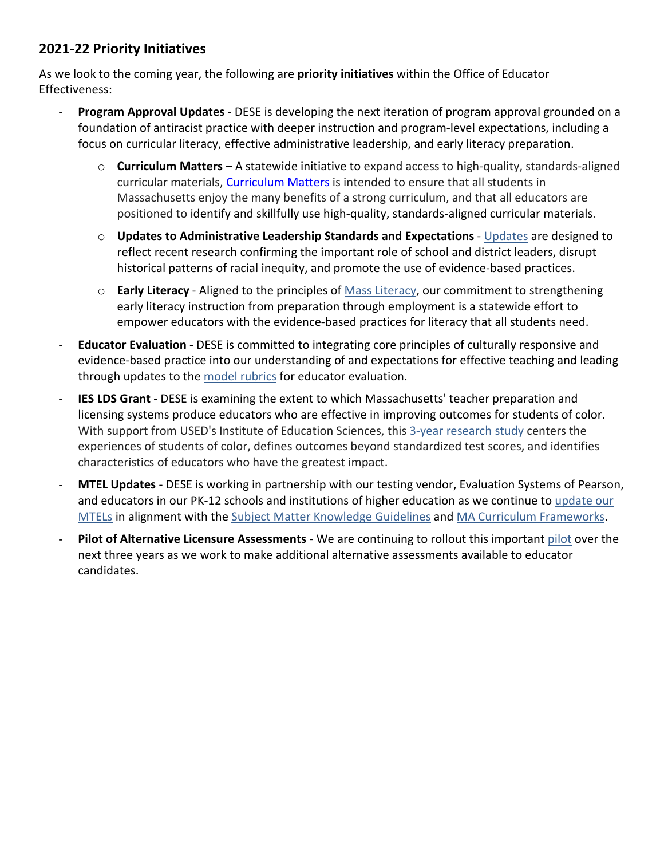### <span id="page-1-0"></span>**2021-22 Priority Initiatives**

As we look to the coming year, the following are **priority initiatives** within the Office of Educator Effectiveness:

- **Program Approval Updates** DESE is developing the next iteration of program approval grounded on a foundation of antiracist practice with deeper instruction and program-level expectations, including a focus on curricular literacy, effective administrative leadership, and early literacy preparation.
	- o **Curriculum Matters** A statewide initiative to expand access to high-quality, standards-aligned curricular materials, [Curriculum Matters](https://www.doe.mass.edu/instruction/impd/) is intended to ensure that all students in Massachusetts enjoy the many benefits of a strong curriculum, and that all educators are positioned to identify and skillfully use high-quality, standards-aligned curricular materials.
	- o **Updates to Administrative Leadership Standards and Expectations** [Updates](https://www.doe.mass.edu/edprep/resources/guidelines-advisories/leadership-guide/) are designed to reflect recent research confirming the important role of school and district leaders, disrupt historical patterns of racial inequity, and promote the use of evidence-based practices.
	- o **Early Literacy** Aligned to the principles of [Mass Literacy,](https://www.doe.mass.edu/massliteracy/) our commitment to strengthening early literacy instruction from preparation through employment is a statewide effort to empower educators with the evidence-based practices for literacy that all students need.
- **Educator Evaluation** DESE is committed to integrating core principles of culturally responsive and evidence-based practice into our understanding of and expectations for effective teaching and leading through updates to the [model rubrics](https://www.doe.mass.edu/edeval/rubrics/default.html) for educator evaluation.
- **IES LDS Grant** DESE is examining the extent to which Massachusetts' teacher preparation and licensing systems produce educators who are effective in improving outcomes for students of color. With support from USED's Institute of Education Sciences, this [3-year research study](https://ies.ed.gov/funding/grantsearch/details.asp?ID=4537) centers the experiences of students of color, defines outcomes beyond standardized test scores, and identifies characteristics of educators who have the greatest impact.
- **MTEL Updates** DESE is working in partnership with our testing vendor, Evaluation Systems of Pearson, and educators in our PK-12 schools and institutions of higher education as we continue t[o update our](https://www.doe.mass.edu/mtel/)  [MTELs](https://www.doe.mass.edu/mtel/) in alignment with the [Subject Matter Knowledge Guidelines](https://www.doe.mass.edu/edprep/domains/instruction/smk-guidelines.docx) and [MA Curriculum Frameworks.](https://www.doe.mass.edu/frameworks/current.html)
- **Pilot of Alternative Licensure Assessments** We are continuing to rollout this important [pilot](https://www.doe.mass.edu/news/news.aspx?id=26384) over the next three years as we work to make additional alternative assessments available to educator candidates.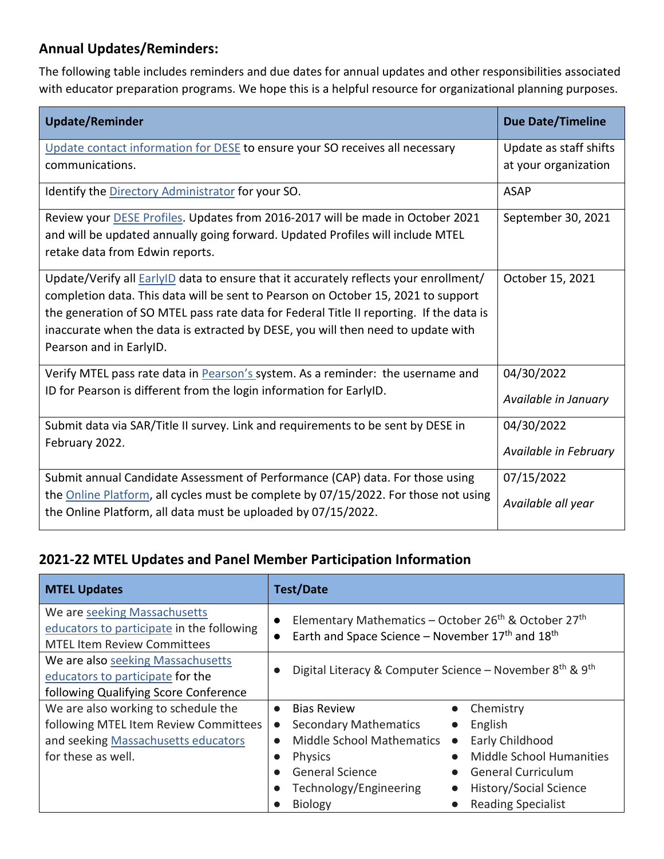# <span id="page-2-0"></span>**Annual Updates/Reminders:**

The following table includes reminders and due dates for annual updates and other responsibilities associated with educator preparation programs. We hope this is a helpful resource for organizational planning purposes.

| <b>Update/Reminder</b>                                                                                                                                                                                                                                                                                                                                                                      | <b>Due Date/Timeline</b>           |
|---------------------------------------------------------------------------------------------------------------------------------------------------------------------------------------------------------------------------------------------------------------------------------------------------------------------------------------------------------------------------------------------|------------------------------------|
| Update contact information for DESE to ensure your SO receives all necessary                                                                                                                                                                                                                                                                                                                | Update as staff shifts             |
| communications.                                                                                                                                                                                                                                                                                                                                                                             | at your organization               |
| Identify the Directory Administrator for your SO.                                                                                                                                                                                                                                                                                                                                           | <b>ASAP</b>                        |
| Review your DESE Profiles. Updates from 2016-2017 will be made in October 2021<br>and will be updated annually going forward. Updated Profiles will include MTEL<br>retake data from Edwin reports.                                                                                                                                                                                         | September 30, 2021                 |
| Update/Verify all <b>EarlyID</b> data to ensure that it accurately reflects your enrollment/<br>completion data. This data will be sent to Pearson on October 15, 2021 to support<br>the generation of SO MTEL pass rate data for Federal Title II reporting. If the data is<br>inaccurate when the data is extracted by DESE, you will then need to update with<br>Pearson and in EarlyID. | October 15, 2021                   |
| Verify MTEL pass rate data in <b>Pearson's</b> system. As a reminder: the username and<br>ID for Pearson is different from the login information for EarlyID.                                                                                                                                                                                                                               | 04/30/2022<br>Available in January |
| Submit data via SAR/Title II survey. Link and requirements to be sent by DESE in<br>February 2022.                                                                                                                                                                                                                                                                                          | 04/30/2022                         |
|                                                                                                                                                                                                                                                                                                                                                                                             | Available in February              |
| Submit annual Candidate Assessment of Performance (CAP) data. For those using                                                                                                                                                                                                                                                                                                               | 07/15/2022                         |
| the <b>Online Platform</b> , all cycles must be complete by 07/15/2022. For those not using<br>the Online Platform, all data must be uploaded by 07/15/2022.                                                                                                                                                                                                                                | Available all year                 |

### <span id="page-2-1"></span>**2021-22 MTEL Updates and Panel Member Participation Information**

| <b>MTEL Updates</b>                                                                                             | <b>Test/Date</b>                                                                                                                                                                   |
|-----------------------------------------------------------------------------------------------------------------|------------------------------------------------------------------------------------------------------------------------------------------------------------------------------------|
| We are seeking Massachusetts<br>educators to participate in the following<br><b>MTEL Item Review Committees</b> | Elementary Mathematics - October 26 <sup>th</sup> & October 27 <sup>th</sup><br>$\bullet$<br>Earth and Space Science – November 17 <sup>th</sup> and 18 <sup>th</sup><br>$\bullet$ |
| We are also seeking Massachusetts<br>educators to participate for the<br>following Qualifying Score Conference  | Digital Literacy & Computer Science - November 8th & 9th                                                                                                                           |
| We are also working to schedule the                                                                             | <b>Bias Review</b><br>Chemistry<br>$\bullet$                                                                                                                                       |
| following MTEL Item Review Committees                                                                           | <b>Secondary Mathematics</b><br>English<br>$\bullet$                                                                                                                               |
| and seeking Massachusetts educators                                                                             | <b>Middle School Mathematics</b><br>Early Childhood<br>$\bullet$<br>$\bullet$                                                                                                      |
| for these as well.                                                                                              | Middle School Humanities<br><b>Physics</b><br>$\bullet$                                                                                                                            |
|                                                                                                                 | <b>General Science</b><br><b>General Curriculum</b>                                                                                                                                |
|                                                                                                                 | Technology/Engineering<br>History/Social Science                                                                                                                                   |
|                                                                                                                 | <b>Reading Specialist</b><br><b>Biology</b>                                                                                                                                        |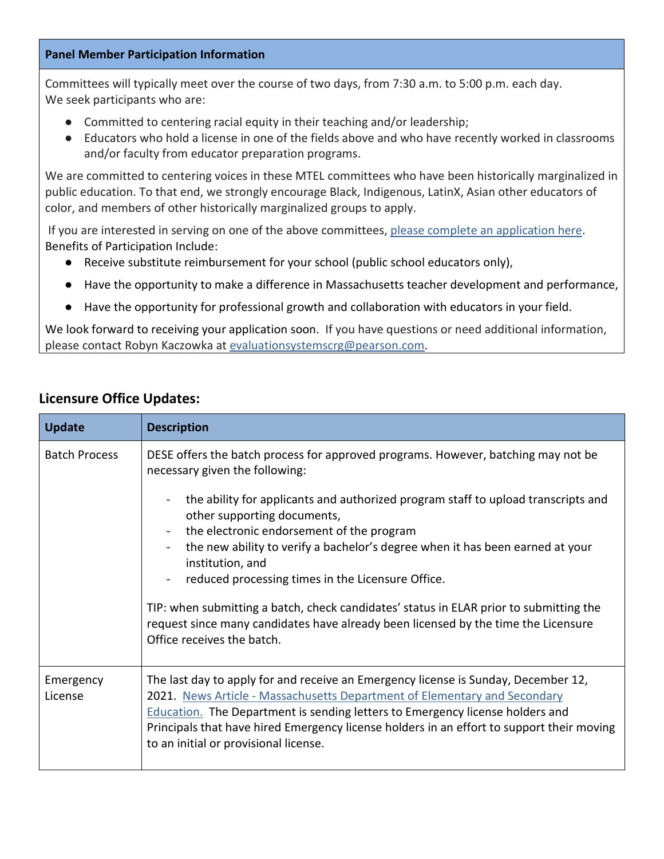#### **Panel Member Participation Information**

Committees will typically meet over the course of two days, from 7:30 a.m. to 5:00 p.m. each day. We seek participants who are:

- Committed to centering racial equity in their teaching and/or leadership;
- Educators who hold a license in one of the fields above and who have recently worked in classrooms and/or faculty from educator preparation programs.

We are committed to centering voices in these MTEL committees who have been historically marginalized in public education. To that end, we strongly encourage Black, Indigenous, LatinX, Asian other educators of color, and members of other historically marginalized groups to apply.

If you are interested in serving on one of the above committees[,](https://www.cvent.com/d/hcq2tt) [please complete an application here.](https://www.cvent.com/d/hcq2tt) Benefits of Participation Include:

- Receive substitute reimbursement for your school (public school educators only),
- Have the opportunity to make a difference in Massachusetts teacher development and performance,
- Have the opportunity for professional growth and collaboration with educators in your field.

We look forward to receiving your application soon. If you have questions or need additional information, please contact Robyn Kaczowka at [evaluationsystemscrg@pearson.com.](mailto:evaluationsystemscrg@pearson.com)

### <span id="page-3-0"></span>**Licensure Office Updates:**

| <b>Update</b>        | <b>Description</b>                                                                                                                                                                                                                                                                                                                                                                            |
|----------------------|-----------------------------------------------------------------------------------------------------------------------------------------------------------------------------------------------------------------------------------------------------------------------------------------------------------------------------------------------------------------------------------------------|
| <b>Batch Process</b> | DESE offers the batch process for approved programs. However, batching may not be<br>necessary given the following:                                                                                                                                                                                                                                                                           |
|                      | the ability for applicants and authorized program staff to upload transcripts and<br>other supporting documents,<br>the electronic endorsement of the program                                                                                                                                                                                                                                 |
|                      | the new ability to verify a bachelor's degree when it has been earned at your<br>institution, and                                                                                                                                                                                                                                                                                             |
|                      | reduced processing times in the Licensure Office.                                                                                                                                                                                                                                                                                                                                             |
|                      | TIP: when submitting a batch, check candidates' status in ELAR prior to submitting the<br>request since many candidates have already been licensed by the time the Licensure<br>Office receives the batch.                                                                                                                                                                                    |
| Emergency<br>License | The last day to apply for and receive an Emergency license is Sunday, December 12,<br>2021. News Article - Massachusetts Department of Elementary and Secondary<br><b>Education.</b> The Department is sending letters to Emergency license holders and<br>Principals that have hired Emergency license holders in an effort to support their moving<br>to an initial or provisional license. |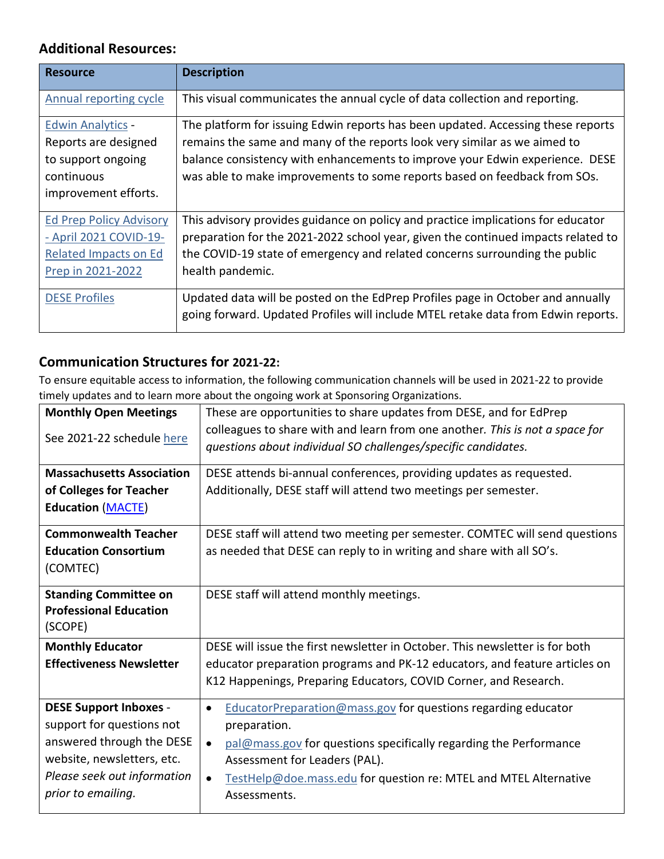## <span id="page-4-0"></span>**Additional Resources:**

| <b>Resource</b>                | <b>Description</b>                                                                |
|--------------------------------|-----------------------------------------------------------------------------------|
| Annual reporting cycle         | This visual communicates the annual cycle of data collection and reporting.       |
| <b>Edwin Analytics</b>         | The platform for issuing Edwin reports has been updated. Accessing these reports  |
| Reports are designed           | remains the same and many of the reports look very similar as we aimed to         |
| to support ongoing             | balance consistency with enhancements to improve your Edwin experience. DESE      |
| continuous                     | was able to make improvements to some reports based on feedback from SOs.         |
| improvement efforts.           |                                                                                   |
| <b>Ed Prep Policy Advisory</b> | This advisory provides guidance on policy and practice implications for educator  |
| - April 2021 COVID-19-         | preparation for the 2021-2022 school year, given the continued impacts related to |
| <b>Related Impacts on Ed</b>   | the COVID-19 state of emergency and related concerns surrounding the public       |
| Prep in 2021-2022              | health pandemic.                                                                  |
| <b>DESE Profiles</b>           | Updated data will be posted on the EdPrep Profiles page in October and annually   |
|                                | going forward. Updated Profiles will include MTEL retake data from Edwin reports. |

## <span id="page-4-1"></span>**Communication Structures for 2021-22:**

To ensure equitable access to information, the following communication channels will be used in 2021-22 to provide timely updates and to learn more about the ongoing work at Sponsoring Organizations.

| <b>Monthly Open Meetings</b><br>See 2021-22 schedule here                                                                                                                  | These are opportunities to share updates from DESE, and for EdPrep<br>colleagues to share with and learn from one another. This is not a space for<br>questions about individual SO challenges/specific candidates.                                                                                            |
|----------------------------------------------------------------------------------------------------------------------------------------------------------------------------|----------------------------------------------------------------------------------------------------------------------------------------------------------------------------------------------------------------------------------------------------------------------------------------------------------------|
| <b>Massachusetts Association</b><br>of Colleges for Teacher<br><b>Education (MACTE)</b>                                                                                    | DESE attends bi-annual conferences, providing updates as requested.<br>Additionally, DESE staff will attend two meetings per semester.                                                                                                                                                                         |
| <b>Commonwealth Teacher</b><br><b>Education Consortium</b><br>(COMTEC)                                                                                                     | DESE staff will attend two meeting per semester. COMTEC will send questions<br>as needed that DESE can reply to in writing and share with all SO's.                                                                                                                                                            |
| <b>Standing Committee on</b><br><b>Professional Education</b><br>(SCOPE)                                                                                                   | DESE staff will attend monthly meetings.                                                                                                                                                                                                                                                                       |
| <b>Monthly Educator</b><br><b>Effectiveness Newsletter</b>                                                                                                                 | DESE will issue the first newsletter in October. This newsletter is for both<br>educator preparation programs and PK-12 educators, and feature articles on<br>K12 Happenings, Preparing Educators, COVID Corner, and Research.                                                                                 |
| <b>DESE Support Inboxes -</b><br>support for questions not<br>answered through the DESE<br>website, newsletters, etc.<br>Please seek out information<br>prior to emailing. | EducatorPreparation@mass.gov for questions regarding educator<br>$\bullet$<br>preparation.<br>pal@mass.gov for questions specifically regarding the Performance<br>$\bullet$<br>Assessment for Leaders (PAL).<br>TestHelp@doe.mass.edu for question re: MTEL and MTEL Alternative<br>$\bullet$<br>Assessments. |